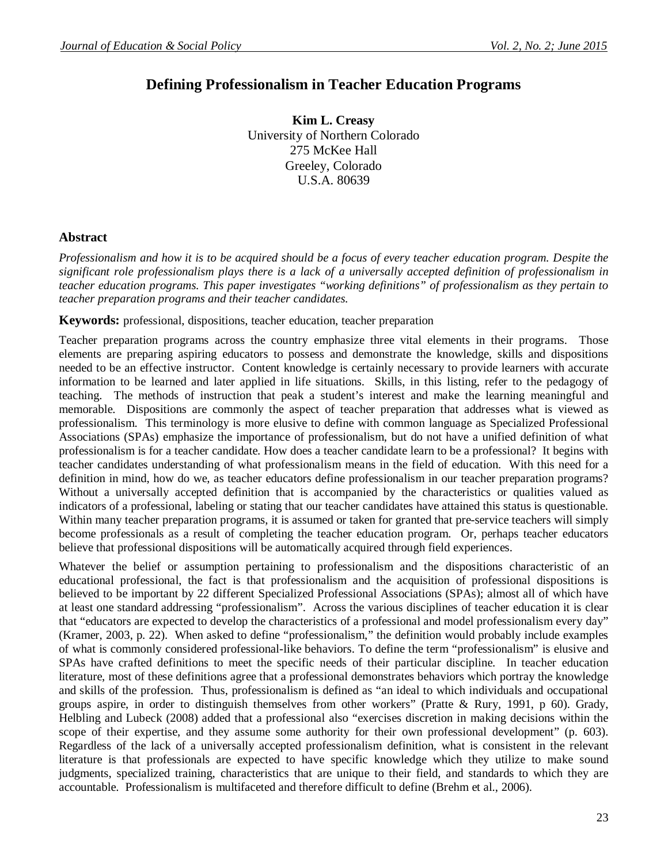# **Defining Professionalism in Teacher Education Programs**

**Kim L. Creasy** University of Northern Colorado 275 McKee Hall Greeley, Colorado U.S.A. 80639

### **Abstract**

*Professionalism and how it is to be acquired should be a focus of every teacher education program. Despite the significant role professionalism plays there is a lack of a universally accepted definition of professionalism in teacher education programs. This paper investigates "working definitions" of professionalism as they pertain to teacher preparation programs and their teacher candidates.* 

**Keywords:** professional, dispositions, teacher education, teacher preparation

Teacher preparation programs across the country emphasize three vital elements in their programs. Those elements are preparing aspiring educators to possess and demonstrate the knowledge, skills and dispositions needed to be an effective instructor. Content knowledge is certainly necessary to provide learners with accurate information to be learned and later applied in life situations. Skills, in this listing, refer to the pedagogy of teaching. The methods of instruction that peak a student's interest and make the learning meaningful and memorable. Dispositions are commonly the aspect of teacher preparation that addresses what is viewed as professionalism. This terminology is more elusive to define with common language as Specialized Professional Associations (SPAs) emphasize the importance of professionalism, but do not have a unified definition of what professionalism is for a teacher candidate. How does a teacher candidate learn to be a professional? It begins with teacher candidates understanding of what professionalism means in the field of education. With this need for a definition in mind, how do we, as teacher educators define professionalism in our teacher preparation programs? Without a universally accepted definition that is accompanied by the characteristics or qualities valued as indicators of a professional, labeling or stating that our teacher candidates have attained this status is questionable. Within many teacher preparation programs, it is assumed or taken for granted that pre-service teachers will simply become professionals as a result of completing the teacher education program. Or, perhaps teacher educators believe that professional dispositions will be automatically acquired through field experiences.

Whatever the belief or assumption pertaining to professionalism and the dispositions characteristic of an educational professional, the fact is that professionalism and the acquisition of professional dispositions is believed to be important by 22 different Specialized Professional Associations (SPAs); almost all of which have at least one standard addressing "professionalism". Across the various disciplines of teacher education it is clear that "educators are expected to develop the characteristics of a professional and model professionalism every day" (Kramer, 2003, p. 22). When asked to define "professionalism," the definition would probably include examples of what is commonly considered professional-like behaviors. To define the term "professionalism" is elusive and SPAs have crafted definitions to meet the specific needs of their particular discipline. In teacher education literature, most of these definitions agree that a professional demonstrates behaviors which portray the knowledge and skills of the profession. Thus, professionalism is defined as "an ideal to which individuals and occupational groups aspire, in order to distinguish themselves from other workers" (Pratte & Rury, 1991, p 60). Grady, Helbling and Lubeck (2008) added that a professional also "exercises discretion in making decisions within the scope of their expertise, and they assume some authority for their own professional development" (p. 603). Regardless of the lack of a universally accepted professionalism definition, what is consistent in the relevant literature is that professionals are expected to have specific knowledge which they utilize to make sound judgments, specialized training, characteristics that are unique to their field, and standards to which they are accountable. Professionalism is multifaceted and therefore difficult to define (Brehm et al., 2006).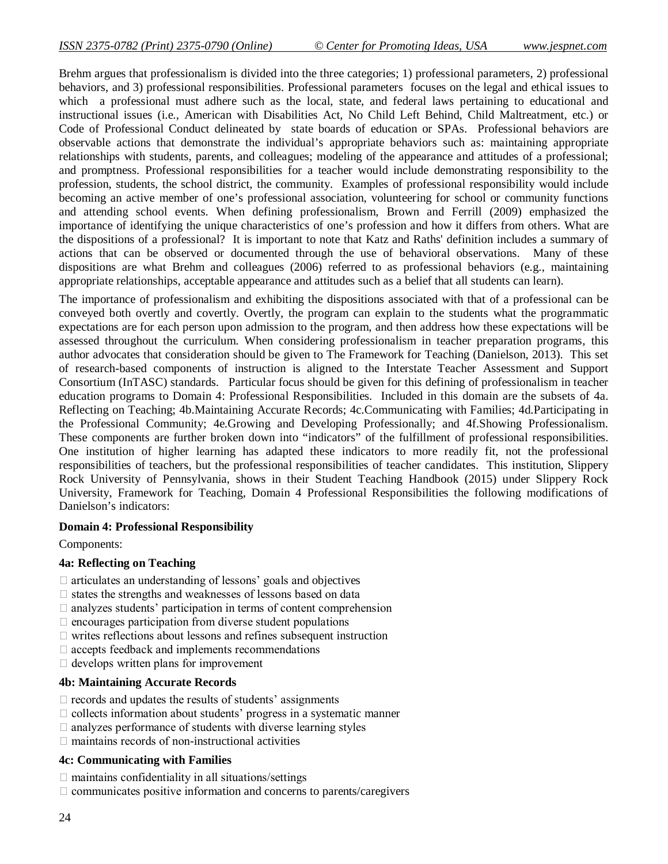Brehm argues that professionalism is divided into the three categories; 1) professional parameters, 2) professional behaviors, and 3) professional responsibilities. Professional parameters focuses on the legal and ethical issues to which a professional must adhere such as the local, state, and federal laws pertaining to educational and

instructional issues (i.e., American with Disabilities Act, No Child Left Behind, Child Maltreatment, etc.) or Code of Professional Conduct delineated by state boards of education or SPAs. Professional behaviors are observable actions that demonstrate the individual's appropriate behaviors such as: maintaining appropriate relationships with students, parents, and colleagues; modeling of the appearance and attitudes of a professional; and promptness. Professional responsibilities for a teacher would include demonstrating responsibility to the profession, students, the school district, the community. Examples of professional responsibility would include becoming an active member of one's professional association, volunteering for school or community functions and attending school events. When defining professionalism, Brown and Ferrill (2009) emphasized the importance of identifying the unique characteristics of one's profession and how it differs from others. What are the dispositions of a professional? It is important to note that Katz and Raths' definition includes a summary of actions that can be observed or documented through the use of behavioral observations. Many of these dispositions are what Brehm and colleagues (2006) referred to as professional behaviors (e.g., maintaining appropriate relationships, acceptable appearance and attitudes such as a belief that all students can learn).

The importance of professionalism and exhibiting the dispositions associated with that of a professional can be conveyed both overtly and covertly. Overtly, the program can explain to the students what the programmatic expectations are for each person upon admission to the program, and then address how these expectations will be assessed throughout the curriculum. When considering professionalism in teacher preparation programs, this author advocates that consideration should be given to The Framework for Teaching (Danielson, 2013). This set of research-based components of instruction is aligned to the Interstate Teacher Assessment and Support Consortium (InTASC) standards. Particular focus should be given for this defining of professionalism in teacher education programs to Domain 4: Professional Responsibilities. Included in this domain are the subsets of 4a. Reflecting on Teaching; 4b.Maintaining Accurate Records; 4c.Communicating with Families; 4d.Participating in the Professional Community; 4e.Growing and Developing Professionally; and 4f.Showing Professionalism. These components are further broken down into "indicators" of the fulfillment of professional responsibilities. One institution of higher learning has adapted these indicators to more readily fit, not the professional responsibilities of teachers, but the professional responsibilities of teacher candidates. This institution, Slippery Rock University of Pennsylvania, shows in their Student Teaching Handbook (2015) under Slippery Rock University, Framework for Teaching, Domain 4 Professional Responsibilities the following modifications of Danielson's indicators:

#### **Domain 4: Professional Responsibility**

Components:

# **4a: Reflecting on Teaching**

- $\Box$  articulates an understanding of lessons' goals and objectives
- $\square$  states the strengths and weaknesses of lessons based on data
- $\Box$  analyzes students' participation in terms of content comprehension
- $\Box$  encourages participation from diverse student populations
- $\Box$  writes reflections about lessons and refines subsequent instruction
- $\Box$  accepts feedback and implements recommendations
- $\Box$  develops written plans for improvement

#### **4b: Maintaining Accurate Records**

- $\Box$  records and updates the results of students' assignments
- $\Box$  collects information about students' progress in a systematic manner
- $\Box$  analyzes performance of students with diverse learning styles
- $\Box$  maintains records of non-instructional activities

## **4c: Communicating with Families**

- $\Box$  maintains confidentiality in all situations/settings
- $\Box$  communicates positive information and concerns to parents/caregivers